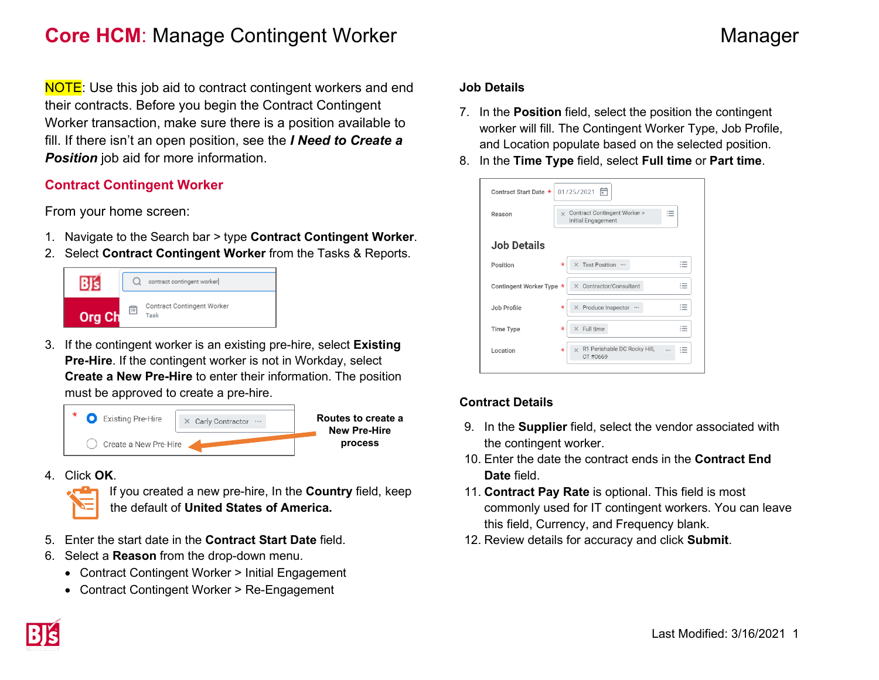## **Core HCM**: Manage Contingent Worker Manager Manager

**NOTE:** Use this job aid to contract contingent workers and end their contracts. Before you begin the Contract Contingent Worker transaction, make sure there is a position available to fill. If there isn't an open position, see the *I Need to Create a*  **Position** job aid for more information.

### **Contract Contingent Worker**

From your home screen:

- 1. Navigate to the Search bar > type **Contract Contingent Worker**.
- 2. Select **Contract Contingent Worker** from the Tasks & Reports.



3. If the contingent worker is an existing pre-hire, select **Existing Pre-Hire**. If the contingent worker is not in Workday, select **Create a New Pre-Hire** to enter their information. The position must be approved to create a pre-hire.



4. Click **OK**.



If you created a new pre-hire, In the **Country** field, keep the default of **United States of America.**

- 5. Enter the start date in the **Contract Start Date** field.
- 6. Select a **Reason** from the drop-down menu.
	- Contract Contingent Worker > Initial Engagement
	- Contract Contingent Worker > Re-Engagement

#### **Job Details**

- 7. In the **Position** field, select the position the contingent worker will fill. The Contingent Worker Type, Job Profile, and Location populate based on the selected position.
- 8. In the **Time Type** field, select **Full time** or **Part time**.

| Contract Start Date *    | 帍<br>01/25/2021                                                                                         |
|--------------------------|---------------------------------------------------------------------------------------------------------|
| Reason                   | Contract Contingent Worker ><br>$\overline{\phantom{a}}$<br>$\times$<br>≔<br>Initial Engagement         |
| Job Details              |                                                                                                         |
| Position                 | $\overline{\phantom{a}}$<br>$\star$<br><b>Test Position</b><br>$\times$<br><br>$\overline{\phantom{a}}$ |
| Contingent Worker Type * | X Contractor/Consultant<br>$\overline{\phantom{a}}$<br>$\sim$                                           |
| Job Profile              | $\overline{\phantom{a}}$<br>× Produce Inspector …<br>*<br>$\cdots$<br>$\overline{\phantom{a}}$          |
| Time Type                | $\overline{\phantom{a}}$<br>$\times$ Full time<br>$\star$<br>$\overline{\phantom{a}}$<br>$\sim$         |
| Location                 | R1 Perishable DC Rocky Hill,<br>$\overline{\phantom{a}}$<br>$\times$<br>$\star$<br>$:=$<br>CT#0669      |

### **Contract Details**

- 9. In the **Supplier** field, select the vendor associated with the contingent worker.
- 10. Enter the date the contract ends in the **Contract End Date** field.
- 11. **Contract Pay Rate** is optional. This field is most commonly used for IT contingent workers. You can leave this field, Currency, and Frequency blank.
- 12. Review details for accuracy and click **Submit**.